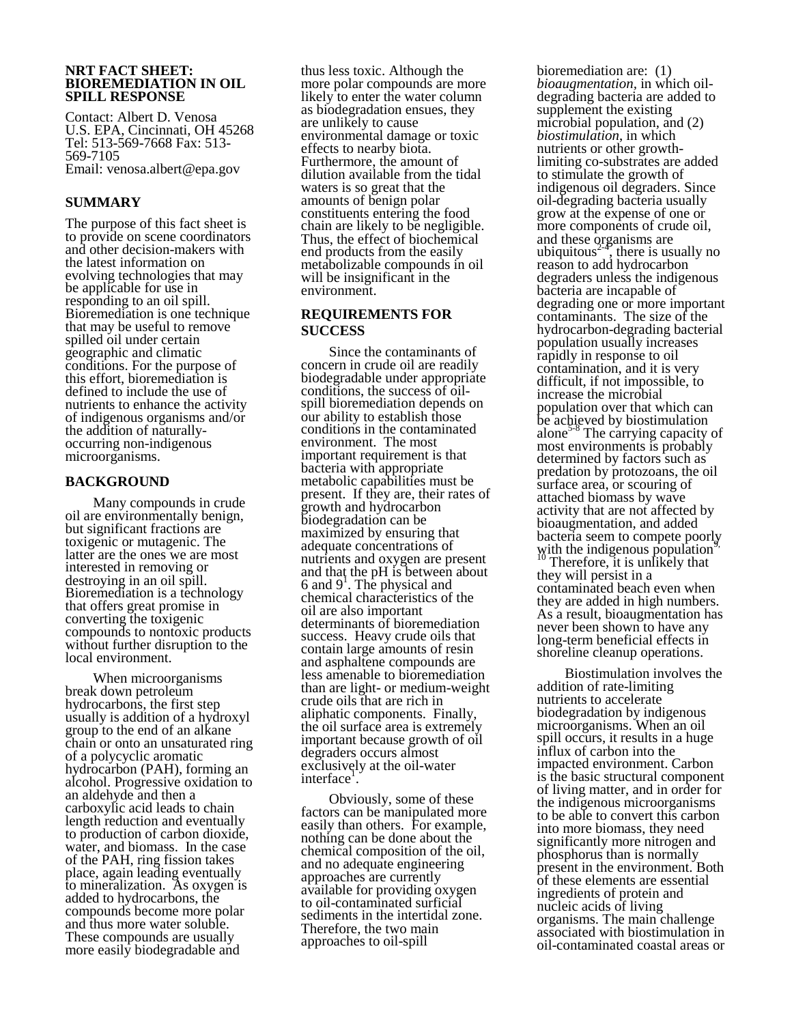#### **NRT FACT SHEET: BIOREMEDIATION IN OIL SPILL RESPONSE**

Contact: Albert D. Venosa U.S. EPA, Cincinnati, OH 45268 Tel: 513-569-7668 Fax: 513- 569-7105 Email: venosa.albert@epa.gov

## **SUMMARY**

The purpose of this fact sheet is to provide on scene coordinators and other decision-makers with the latest information on evolving technologies that may be applicable for use in responding to an oil spill. Bioremediation is one technique that may be useful to remove spilled oil under certain geographic and climatic conditions. For the purpose of this effort, bioremediation is defined to include the use of nutrients to enhance the activity of indigenous organisms and/or the addition of naturally- occurring non-indigenous microorganisms.

#### **BACKGROUND**

Many compounds in crude oil are environmentally benign, but significant fractions are toxigenic or mutagenic. The latter are the ones we are most interested in removing or destroying in an oil spill. Bioremediation is a technology that offers great promise in converting the toxigenic compounds to nontoxic products without further disruption to the local environment.

When microorganisms break down petroleum hydrocarbons, the first step usually is addition of a hydroxyl group to the end of an alkane chain or onto an unsaturated ring of a polycyclic aromatic hydrocarbon (PAH), forming an alcohol. Progressive oxidation to an aldehyde and then a carboxylic acid leads to chain length reduction and eventually to production of carbon dioxide, water, and biomass. In the case of the PAH, ring fission takes place, again leading eventually to mineralization. As oxygen is added to hydrocarbons, the compounds become more polar and thus more water soluble. These compounds are usually more easily biodegradable and

thus less toxic. Although the more polar compounds are more likely to enter the water column as biodegradation ensues, they are unlikely to cause environmental damage or toxic effects to nearby biota. Furthermore, the amount of dilution available from the tidal waters is so great that the amounts of benign polar constituents entering the food chain are likely to be negligible. Thus, the effect of biochemical end products from the easily metabolizable compounds in oil will be insignificant in the environment.

### **REQUIREMENTS FOR SUCCESS**

Since the contaminants of concern in crude oil are readily biodegradable under appropriate conditions, the success of oilspill bioremediation depends on our ability to establish those conditions in the contaminated environment. The most important requirement is that bacteria with appropriate metabolic capabilities must be present. If they are, their rates of growth and hydrocarbon biodegradation can be maximized by ensuring that adequate concentrations of nutrients and oxygen are present and that the pH is between about  $6$  and  $9<sup>1</sup>$ . The physical and chemical characteristics of the oil are also important determinants of bioremediation success. Heavy crude oils that contain large amounts of resin and asphaltene compounds are less amenable to bioremediation than are light- or medium-weight crude oils that are rich in aliphatic components. Finally, the oil surface area is extremely important because growth of oil degraders occurs almost exclusively at the oil-water interface<sup>1</sup>.

Obviously, some of these factors can be manipulated more easily than others. For example, nothing can be done about the chemical composition of the oil, and no adequate engineering approaches are currently available for providing oxygen to oil-contaminated surficial sediments in the intertidal zone. Therefore, the two main approaches to oil-spill

bioremediation are: (1) *bioaugmentation,* in which oildegrading bacteria are added to supplement the existing microbial population, and (2) *biostimulation*, in which nutrients or other growthlimiting co-substrates are added to stimulate the growth of indigenous oil degraders. Since oil-degrading bacteria usually grow at the expense of one or more components of crude oil, and these organisms are ubiquitous<sup> $2-2$ </sup>, there is usually no reason to add hydrocarbon degraders unless the indigenous bacteria are incapable of degrading one or more important contaminants. The size of the hydrocarbon-degrading bacterial population usually increases rapidly in response to oil contamination, and it is very difficult, if not impossible, to increase the microbial population over that which can be achieved by biostimulation alone $5-8$  The carrying capacity of most environments is probably determined by factors such as predation by protozoans, the oil surface area, or scouring of attached biomass by wave activity that are not affected by bioaugmentation, and added bacteria seem to compete poorly with the indigenous population<sup>9,</sup> <sup>10</sup> Therefore, it is unlikely that they will persist in a contaminated beach even when they are added in high numbers. As a result, bioaugmentation has never been shown to have any long-term beneficial effects in shoreline cleanup operations.

Biostimulation involves the addition of rate-limiting nutrients to accelerate biodegradation by indigenous microorganisms. When an oil spill occurs, it results in a huge influx of carbon into the impacted environment. Carbon is the basic structural component of living matter, and in order for the indigenous microorganisms to be able to convert this carbon into more biomass, they need significantly more nitrogen and phosphorus than is normally present in the environment. Both of these elements are essential ingredients of protein and nucleic acids of living organisms. The main challenge associated with biostimulation in oil-contaminated coastal areas or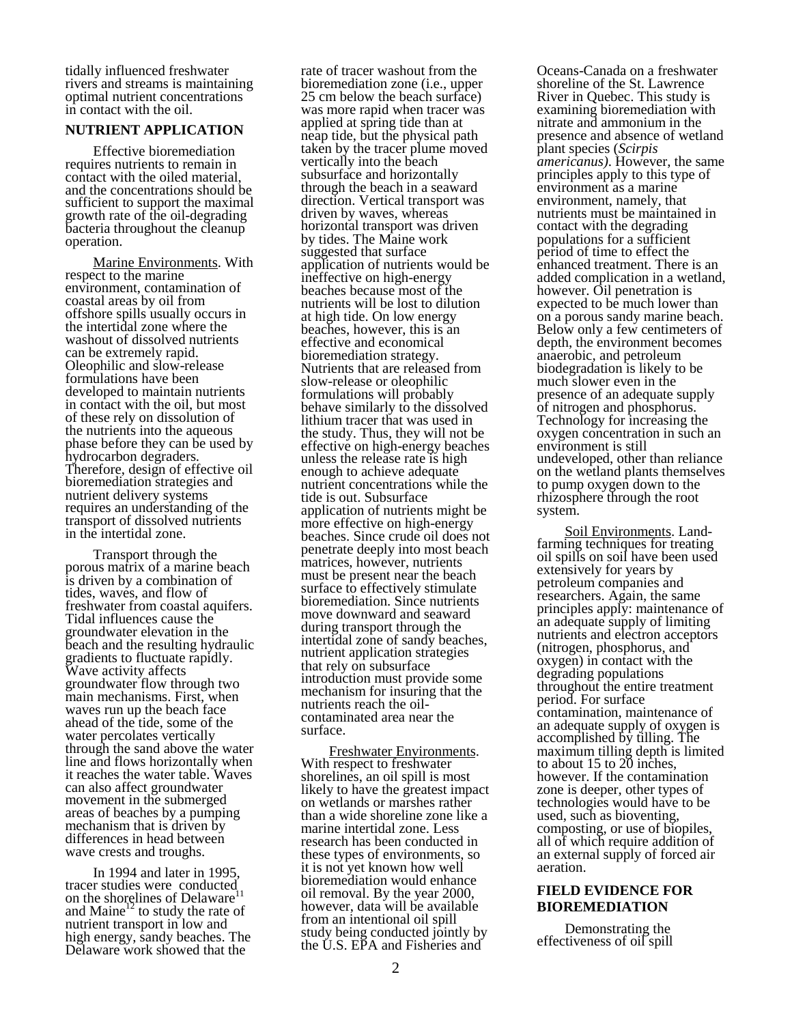tidally influenced freshwater rivers and streams is maintaining optimal nutrient concentrations in contact with the oil.

#### **NUTRIENT APPLICATION**

Effective bioremediation requires nutrients to remain in contact with the oiled material, and the concentrations should be sufficient to support the maximal growth rate of the oil-degrading bacteria throughout the cleanup operation.

Marine Environments. With respect to the marine environment, contamination of coastal areas by oil from offshore spills usually occurs in the intertidal zone where the washout of dissolved nutrients can be extremely rapid. Oleophilic and slow-release formulations have been developed to maintain nutrients in contact with the oil, but most of these rely on dissolution of the nutrients into the aqueous phase before they can be used by hydrocarbon degraders. Therefore, design of effective oil bioremediation strategies and nutrient delivery systems requires an understanding of the transport of dissolved nutrients in the intertidal zone.

Transport through the porous matrix of a marine beach is driven by a combination of tides, waves, and flow of freshwater from coastal aquifers. Tidal influences cause the groundwater elevation in the beach and the resulting hydraulic gradients to fluctuate rapidly. Wave activity affects groundwater flow through two main mechanisms. First, when waves run up the beach face ahead of the tide, some of the water percolates vertically through the sand above the water line and flows horizontally when it reaches the water table. Waves can also affect groundwater movement in the submerged areas of beaches by a pumping mechanism that is driven by differences in head between wave crests and troughs.

In 1994 and later in 1995, tracer studies were conducted<br>on the shapelines of Delaysera<sup>11</sup> on the shorelines of Delaware<sup>1</sup> and  $Maine<sup>12</sup>$  to study the rate of nutrient transport in low and high energy, sandy beaches. The Delaware work showed that the

rate of tracer washout from the bioremediation zone (i.e., upper 25 cm below the beach surface) was more rapid when tracer was applied at spring tide than at neap tide, but the physical path taken by the tracer plume moved vertically into the beach subsurface and horizontally through the beach in a seaward direction. Vertical transport was driven by waves, whereas horizontal transport was driven by tides. The Maine work suggested that surface application of nutrients would be ineffective on high-energy beaches because most of the nutrients will be lost to dilution at high tide. On low energy beaches, however, this is an effective and economical<br>bioremediation strategy. Nutrients that are released from slow-release or oleophilic formulations will probably behave similarly to the dissolved lithium tracer that was used in the study. Thus, they will not be effective on high-energy beaches unless the release rate is high enough to achieve adequate nutrient concentrations while the tide is out. Subsurface application of nutrients might be more effective on high-energy beaches. Since crude oil does not penetrate deeply into most beach matrices, however, nutrients must be present near the beach surface to effectively stimulate bioremediation. Since nutrients move downward and seaward during transport through the intertidal zone of sandy beaches, nutrient application strategies that rely on subsurface introduction must provide some mechanism for insuring that the nutrients reach the oilcontaminated area near the surface.

Freshwater Environments.<br>With respect to freshwater shorelines, an oil spill is most likely to have the greatest impact on wetlands or marshes rather than a wide shoreline zone like a marine intertidal zone. Less research has been conducted in these types of environments, so it is not yet known how well bioremediation would enhance oil removal. By the year 2000, however, data will be available from an intentional oil spill study being conducted jointly by the U.S. EPA and Fisheries and

Oceans-Canada on a freshwater shoreline of the St. Lawrence River in Quebec. This study is examining bioremediation with nitrate and ammonium in the presence and absence of wetland plant species (*Scirpis americanus)*. However, the same principles apply to this type of environment as a marine environment, namely, that nutrients must be maintained in contact with the degrading populations for a sufficient period of time to effect the enhanced treatment. There is an added complication in a wetland, however. Oil penetration is expected to be much lower than on a porous sandy marine beach. Below only a few centimeters of depth, the environment becomes anaerobic, and petroleum biodegradation is likely to be much slower even in the presence of an adequate supply of nitrogen and phosphorus. Technology for increasing the oxygen concentration in such an environment is still undeveloped, other than reliance on the wetland plants themselves to pump oxygen down to the rhizosphere through the root system.

Soil Environments. Landfarming techniques for treating oil spills on soil have been used extensively for years by petroleum companies and researchers. Again, the same principles apply: maintenance of an adequate supply of limiting nutrients and electron acceptors (nitrogen, phosphorus, and oxygen) in contact with the degrading populations throughout the entire treatment period. For surface contamination, maintenance of an adequate supply of oxygen is accomplished by tilling. The maximum tilling depth is limited to about 15 to 20 inches, however. If the contamination zone is deeper, other types of technologies would have to be used, such as bioventing, composting, or use of biopiles, all of which require addition of an external supply of forced air aeration.

## **FIELD EVIDENCE FOR BIOREMEDIATION**

Demonstrating the effectiveness of oil spill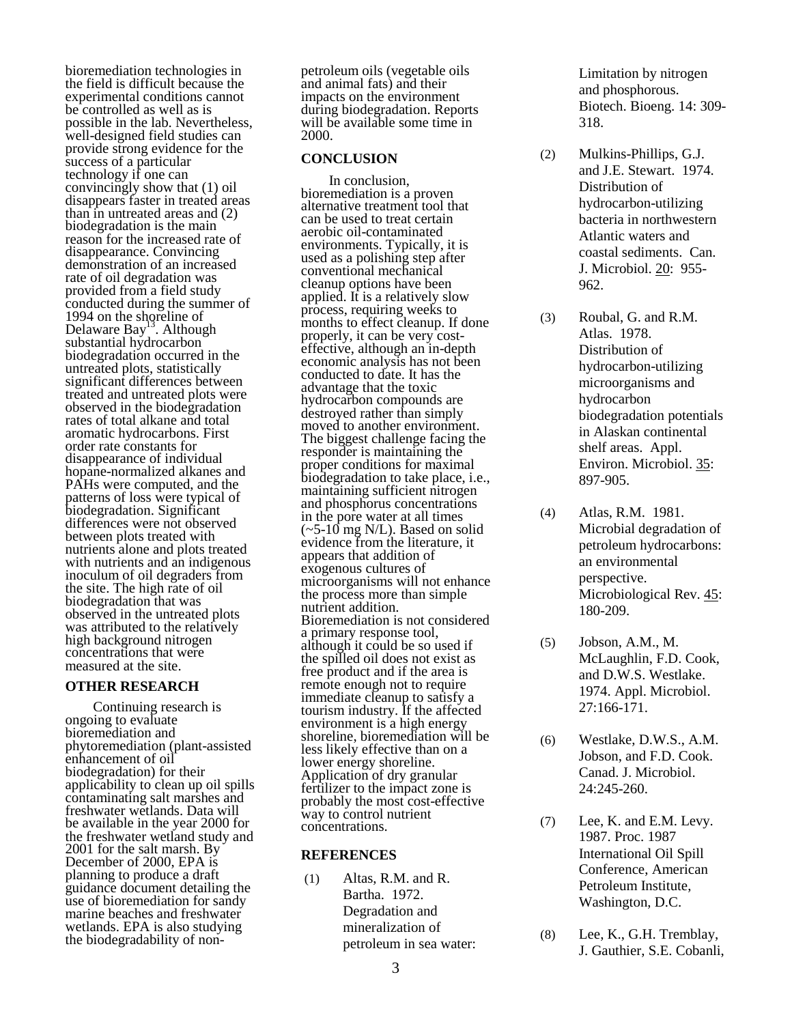bioremediation technologies in the field is difficult because the experimental conditions cannot be controlled as well as is possible in the lab. Nevertheless, well-designed field studies can provide strong evidence for the success of a particular technology if one can convincingly show that (1) oil disappears faster in treated areas than in untreated areas and (2) biodegradation is the main reason for the increased rate of disappearance. Convincing demonstration of an increased rate of oil degradation was provided from a field study conducted during the summer of 1994 on the shoreline of Delaware Bay<sup>13</sup>. Although substantial hydrocarbon biodegradation occurred in the untreated plots, statistically significant differences between treated and untreated plots were observed in the biodegradation rates of total alkane and total aromatic hydrocarbons. First order rate constants for disappearance of individual hopane-normalized alkanes and PAHs were computed, and the patterns of loss were typical of biodegradation. Significant differences were not observed between plots treated with nutrients alone and plots treated with nutrients and an indigenous inoculum of oil degraders from the site. The high rate of oil biodegradation that was observed in the untreated plots was attributed to the relatively high background nitrogen concentrations that were measured at the site.

# **OTHER RESEARCH**

Continuing research is ongoing to evaluate bioremediation and phytoremediation (plant-assisted enhancement of oil biodegradation) for their applicability to clean up oil spills contaminating salt marshes and freshwater wetlands. Data will be available in the year 2000 for the freshwater wetland study and 2001 for the salt marsh. By December of 2000, EPA is planning to produce a draft guidance document detailing the use of bioremediation for sandy marine beaches and freshwater wetlands. EPA is also studying the biodegradability of nonpetroleum oils (vegetable oils and animal fats) and their impacts on the environment during biodegradation. Reports will be available some time in 2000.

## **CONCLUSION**

In conclusion, bioremediation is a proven alternative treatment tool that can be used to treat certain aerobic oil-contaminated environments. Typically, it is used as a polishing step after conventional mechanical cleanup options have been applied. It is a relatively slow process, requiring weeks to months to effect cleanup. If done<br>properly, it can be very costeffective, although an in-depth economic analysis has not been conducted to date. It has the advantage that the toxic hydrocarbon compounds are destroyed rather than simply moved to another environment. The biggest challenge facing the responder is maintaining the proper conditions for maximal biodegradation to take place, i.e., maintaining sufficient nitrogen and phosphorus concentrations in the pore water at all times  $(-5-10 \text{ mg } N/L)$ . Based on solid evidence from the literature, it appears that addition of exogenous cultures of microorganisms will not enhance the process more than simple Bioremediation is not considered<br>a primary response tool, although it could be so used if the spilled oil does not exist as free product and if the area is remote enough not to require immediate cleanup to satisfy a tourism industry. If the affected environment is a high energy shoreline, bioremediation will be less likely effective than on a lower energy shoreline. Application of dry granular fertilizer to the impact zone is probably the most cost-effective way to control nutrient concentrations.

## **REFERENCES**

(1) Altas, R.M. and R. Bartha. 1972. Degradation and mineralization of petroleum in sea water: Limitation by nitrogen and phosphorous. Biotech. Bioeng. 14: 309- 318.

- (2) Mulkins-Phillips, G.J. and J.E. Stewart. 1974. Distribution of hydrocarbon-utilizing bacteria in northwestern Atlantic waters and coastal sediments. Can. J. Microbiol. 20: 955- 962.
- (3) Roubal, G. and R.M. Atlas. 1978. Distribution of hydrocarbon-utilizing microorganisms and hydrocarbon biodegradation potentials in Alaskan continental shelf areas. Appl. Environ. Microbiol. 35: 897-905.
- (4) Atlas, R.M. 1981. Microbial degradation of petroleum hydrocarbons: an environmental perspective. Microbiological Rev. 45: 180-209.
- (5) Jobson, A.M., M. McLaughlin, F.D. Cook, and D.W.S. Westlake. 1974. Appl. Microbiol. 27:166-171.
- (6) Westlake, D.W.S., A.M. Jobson, and F.D. Cook. Canad. J. Microbiol. 24:245-260.
- (7) Lee, K. and E.M. Levy. 1987. Proc. 1987 International Oil Spill Conference, American Petroleum Institute, Washington, D.C.
- (8) Lee, K., G.H. Tremblay, J. Gauthier, S.E. Cobanli,